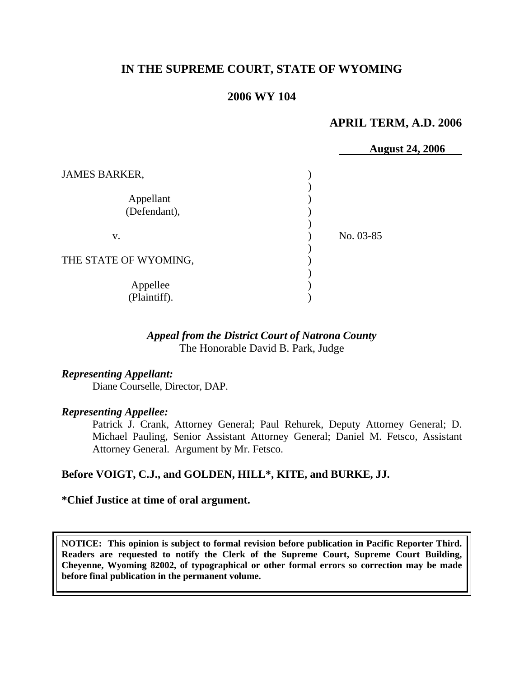# **IN THE SUPREME COURT, STATE OF WYOMING**

## **2006 WY 104**

### **APRIL TERM, A.D. 2006**

|                           | <b>August 24, 2006</b> |
|---------------------------|------------------------|
| <b>JAMES BARKER,</b>      |                        |
| Appellant<br>(Defendant), |                        |
| V.                        | No. 03-85              |
| THE STATE OF WYOMING,     |                        |
| Appellee<br>(Plaintiff).  |                        |

#### *Appeal from the District Court of Natrona County* The Honorable David B. Park, Judge

#### *Representing Appellant:*

Diane Courselle, Director, DAP.

#### *Representing Appellee:*

Patrick J. Crank, Attorney General; Paul Rehurek, Deputy Attorney General; D. Michael Pauling, Senior Assistant Attorney General; Daniel M. Fetsco, Assistant Attorney General. Argument by Mr. Fetsco.

#### **Before VOIGT, C.J., and GOLDEN, HILL\*, KITE, and BURKE, JJ.**

#### **\*Chief Justice at time of oral argument.**

**NOTICE: This opinion is subject to formal revision before publication in Pacific Reporter Third. Readers are requested to notify the Clerk of the Supreme Court, Supreme Court Building, Cheyenne, Wyoming 82002, of typographical or other formal errors so correction may be made before final publication in the permanent volume.**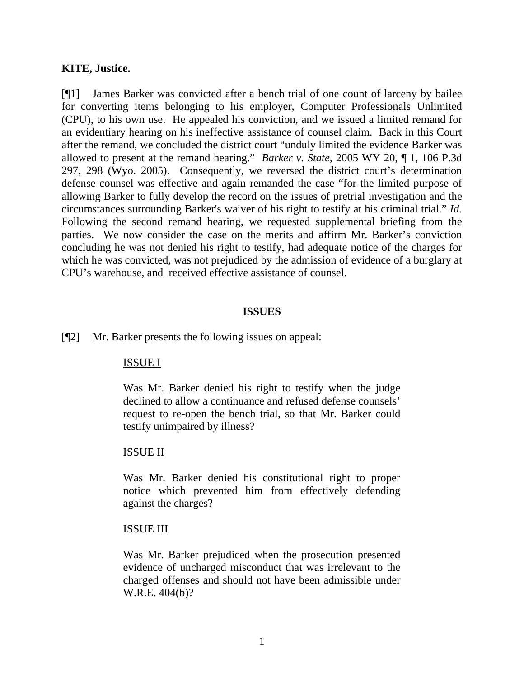### **KITE, Justice.**

[¶1] James Barker was convicted after a bench trial of one count of larceny by bailee for converting items belonging to his employer, Computer Professionals Unlimited (CPU), to his own use. He appealed his conviction, and we issued a limited remand for an evidentiary hearing on his ineffective assistance of counsel claim. Back in this Court after the remand, we concluded the district court "unduly limited the evidence Barker was allowed to present at the remand hearing." *Barker v. State,* 2005 WY 20, ¶ 1, 106 P.3d 297, 298 (Wyo. 2005). Consequently, we reversed the district court's determination defense counsel was effective and again remanded the case "for the limited purpose of allowing Barker to fully develop the record on the issues of pretrial investigation and the circumstances surrounding Barker's waiver of his right to testify at his criminal trial." *Id.*  Following the second remand hearing, we requested supplemental briefing from the parties. We now consider the case on the merits and affirm Mr. Barker's conviction concluding he was not denied his right to testify, had adequate notice of the charges for which he was convicted, was not prejudiced by the admission of evidence of a burglary at CPU's warehouse, and received effective assistance of counsel.

#### **ISSUES**

### [¶2] Mr. Barker presents the following issues on appeal:

### ISSUE I

Was Mr. Barker denied his right to testify when the judge declined to allow a continuance and refused defense counsels' request to re-open the bench trial, so that Mr. Barker could testify unimpaired by illness?

### ISSUE II

Was Mr. Barker denied his constitutional right to proper notice which prevented him from effectively defending against the charges?

### ISSUE III

Was Mr. Barker prejudiced when the prosecution presented evidence of uncharged misconduct that was irrelevant to the charged offenses and should not have been admissible under W.R.E. 404(b)?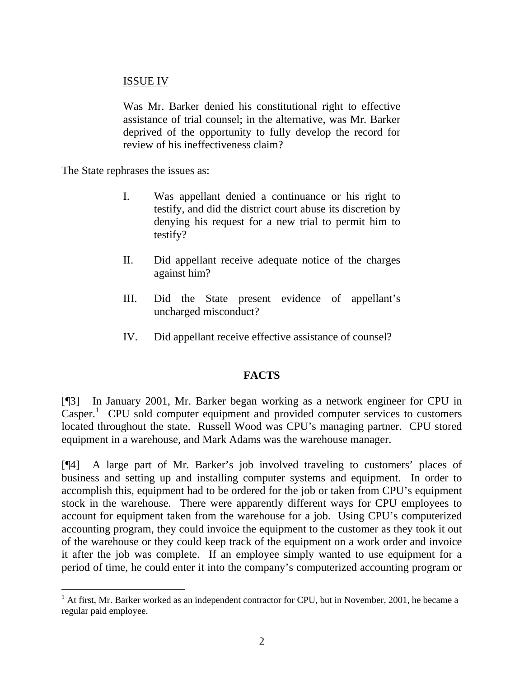## ISSUE IV

Was Mr. Barker denied his constitutional right to effective assistance of trial counsel; in the alternative, was Mr. Barker deprived of the opportunity to fully develop the record for review of his ineffectiveness claim?

The State rephrases the issues as:

- I. Was appellant denied a continuance or his right to testify, and did the district court abuse its discretion by denying his request for a new trial to permit him to testify?
- II. Did appellant receive adequate notice of the charges against him?
- III. Did the State present evidence of appellant's uncharged misconduct?
- IV. Did appellant receive effective assistance of counsel?

### **FACTS**

[¶3] In January 2001, Mr. Barker began working as a network engineer for CPU in Casper.<sup>[1](#page-2-0)</sup> CPU sold computer equipment and provided computer services to customers located throughout the state. Russell Wood was CPU's managing partner. CPU stored equipment in a warehouse, and Mark Adams was the warehouse manager.

[¶4] A large part of Mr. Barker's job involved traveling to customers' places of business and setting up and installing computer systems and equipment. In order to accomplish this, equipment had to be ordered for the job or taken from CPU's equipment stock in the warehouse. There were apparently different ways for CPU employees to account for equipment taken from the warehouse for a job. Using CPU's computerized accounting program, they could invoice the equipment to the customer as they took it out of the warehouse or they could keep track of the equipment on a work order and invoice it after the job was complete. If an employee simply wanted to use equipment for a period of time, he could enter it into the company's computerized accounting program or

<span id="page-2-0"></span> $<sup>1</sup>$  At first, Mr. Barker worked as an independent contractor for CPU, but in November, 2001, he became a</sup> regular paid employee.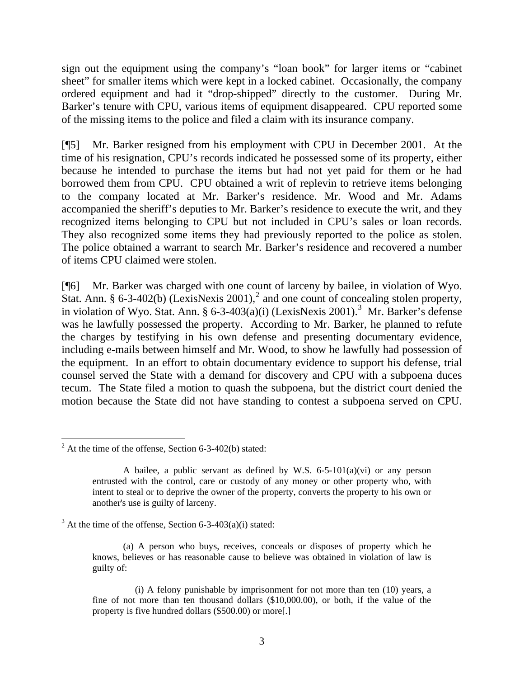sign out the equipment using the company's "loan book" for larger items or "cabinet sheet" for smaller items which were kept in a locked cabinet. Occasionally, the company ordered equipment and had it "drop-shipped" directly to the customer. During Mr. Barker's tenure with CPU, various items of equipment disappeared. CPU reported some of the missing items to the police and filed a claim with its insurance company.

[¶5] Mr. Barker resigned from his employment with CPU in December 2001. At the time of his resignation, CPU's records indicated he possessed some of its property, either because he intended to purchase the items but had not yet paid for them or he had borrowed them from CPU. CPU obtained a writ of replevin to retrieve items belonging to the company located at Mr. Barker's residence. Mr. Wood and Mr. Adams accompanied the sheriff's deputies to Mr. Barker's residence to execute the writ, and they recognized items belonging to CPU but not included in CPU's sales or loan records. They also recognized some items they had previously reported to the police as stolen. The police obtained a warrant to search Mr. Barker's residence and recovered a number of items CPU claimed were stolen.

[¶6] Mr. Barker was charged with one count of larceny by bailee, in violation of Wyo. Stat. Ann. § 6-3-40[2](#page-3-0)(b) (LexisNexis 2001),<sup>2</sup> and one count of concealing stolen property, in violation of Wyo. Stat. Ann. § 6-[3](#page-3-1)-403(a)(i) (LexisNexis 2001).<sup>3</sup> Mr. Barker's defense was he lawfully possessed the property. According to Mr. Barker, he planned to refute the charges by testifying in his own defense and presenting documentary evidence, including e-mails between himself and Mr. Wood, to show he lawfully had possession of the equipment. In an effort to obtain documentary evidence to support his defense, trial counsel served the State with a demand for discovery and CPU with a subpoena duces tecum. The State filed a motion to quash the subpoena, but the district court denied the motion because the State did not have standing to contest a subpoena served on CPU.

 $\overline{a}$ 

<span id="page-3-0"></span> $2^2$  At the time of the offense, Section 6-3-402(b) stated:

A bailee, a public servant as defined by W.S. 6-5-101(a)(vi) or any person entrusted with the control, care or custody of any money or other property who, with intent to steal or to deprive the owner of the property, converts the property to his own or another's use is guilty of larceny.

<span id="page-3-1"></span> $3$  At the time of the offense, Section 6-3-403(a)(i) stated:

<sup>(</sup>a) A person who buys, receives, conceals or disposes of property which he knows, believes or has reasonable cause to believe was obtained in violation of law is guilty of:

 <sup>(</sup>i) A felony punishable by imprisonment for not more than ten (10) years, a fine of not more than ten thousand dollars (\$10,000.00), or both, if the value of the property is five hundred dollars (\$500.00) or more[.]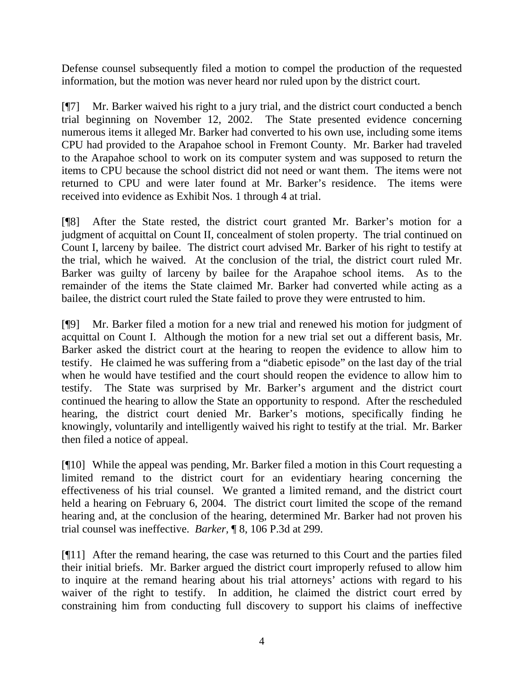Defense counsel subsequently filed a motion to compel the production of the requested information, but the motion was never heard nor ruled upon by the district court.

[¶7] Mr. Barker waived his right to a jury trial, and the district court conducted a bench trial beginning on November 12, 2002. The State presented evidence concerning numerous items it alleged Mr. Barker had converted to his own use, including some items CPU had provided to the Arapahoe school in Fremont County. Mr. Barker had traveled to the Arapahoe school to work on its computer system and was supposed to return the items to CPU because the school district did not need or want them. The items were not returned to CPU and were later found at Mr. Barker's residence. The items were received into evidence as Exhibit Nos. 1 through 4 at trial.

[¶8] After the State rested, the district court granted Mr. Barker's motion for a judgment of acquittal on Count II, concealment of stolen property. The trial continued on Count I, larceny by bailee. The district court advised Mr. Barker of his right to testify at the trial, which he waived. At the conclusion of the trial, the district court ruled Mr. Barker was guilty of larceny by bailee for the Arapahoe school items. As to the remainder of the items the State claimed Mr. Barker had converted while acting as a bailee, the district court ruled the State failed to prove they were entrusted to him.

[¶9] Mr. Barker filed a motion for a new trial and renewed his motion for judgment of acquittal on Count I. Although the motion for a new trial set out a different basis, Mr. Barker asked the district court at the hearing to reopen the evidence to allow him to testify. He claimed he was suffering from a "diabetic episode" on the last day of the trial when he would have testified and the court should reopen the evidence to allow him to testify. The State was surprised by Mr. Barker's argument and the district court continued the hearing to allow the State an opportunity to respond. After the rescheduled hearing, the district court denied Mr. Barker's motions, specifically finding he knowingly, voluntarily and intelligently waived his right to testify at the trial. Mr. Barker then filed a notice of appeal.

[¶10] While the appeal was pending, Mr. Barker filed a motion in this Court requesting a limited remand to the district court for an evidentiary hearing concerning the effectiveness of his trial counsel. We granted a limited remand, and the district court held a hearing on February 6, 2004. The district court limited the scope of the remand hearing and, at the conclusion of the hearing, determined Mr. Barker had not proven his trial counsel was ineffective. *Barker,* ¶ 8, 106 P.3d at 299.

[¶11] After the remand hearing, the case was returned to this Court and the parties filed their initial briefs. Mr. Barker argued the district court improperly refused to allow him to inquire at the remand hearing about his trial attorneys' actions with regard to his waiver of the right to testify. In addition, he claimed the district court erred by constraining him from conducting full discovery to support his claims of ineffective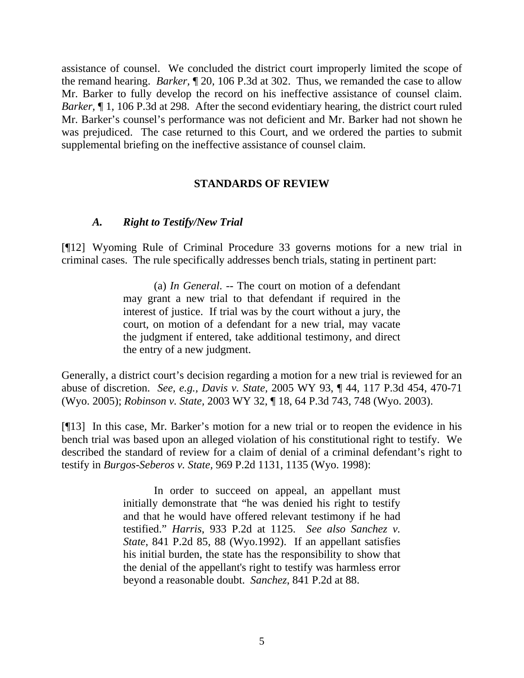assistance of counsel. We concluded the district court improperly limited the scope of the remand hearing. *Barker,* ¶ 20, 106 P.3d at 302. Thus, we remanded the case to allow Mr. Barker to fully develop the record on his ineffective assistance of counsel claim. *Barker*,  $\P$  1, 106 P.3d at 298. After the second evidentiary hearing, the district court ruled Mr. Barker's counsel's performance was not deficient and Mr. Barker had not shown he was prejudiced. The case returned to this Court, and we ordered the parties to submit supplemental briefing on the ineffective assistance of counsel claim.

### **STANDARDS OF REVIEW**

### *A. Right to Testify/New Trial*

[¶12] Wyoming Rule of Criminal Procedure 33 governs motions for a new trial in criminal cases. The rule specifically addresses bench trials, stating in pertinent part:

> (a) *In General*. -- The court on motion of a defendant may grant a new trial to that defendant if required in the interest of justice. If trial was by the court without a jury, the court, on motion of a defendant for a new trial, may vacate the judgment if entered, take additional testimony, and direct the entry of a new judgment.

Generally, a district court's decision regarding a motion for a new trial is reviewed for an abuse of discretion. *See, e.g., Davis v. State,* 2005 WY 93, ¶ 44, 117 P.3d 454, 470-71 (Wyo. 2005); *Robinson v. State,* 2003 WY 32, ¶ 18, 64 P.3d 743, 748 (Wyo. 2003).

[¶13] In this case, Mr. Barker's motion for a new trial or to reopen the evidence in his bench trial was based upon an alleged violation of his constitutional right to testify. We described the standard of review for a claim of denial of a criminal defendant's right to testify in *Burgos-Seberos v. State,* 969 P.2d 1131, 1135 (Wyo. 1998):

> In order to succeed on appeal, an appellant must initially demonstrate that "he was denied his right to testify and that he would have offered relevant testimony if he had testified." *Harris*, 933 P.2d at 1125. *See also Sanchez v. State*, 841 P.2d 85, 88 (Wyo.1992). If an appellant satisfies his initial burden, the state has the responsibility to show that the denial of the appellant's right to testify was harmless error beyond a reasonable doubt. *Sanchez*, 841 P.2d at 88.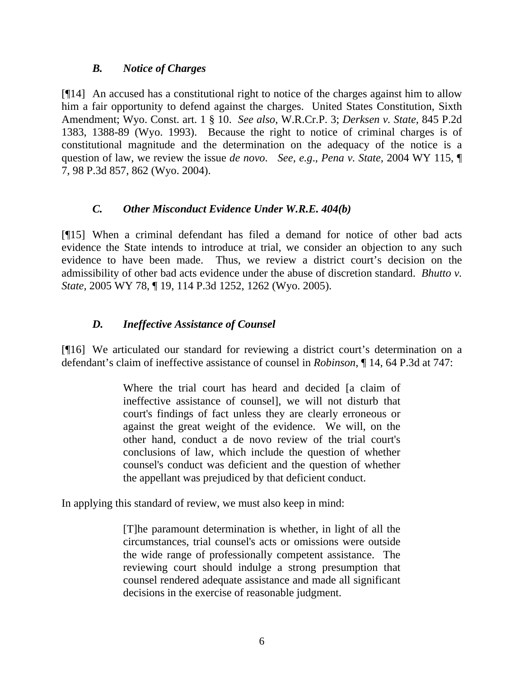## *B. Notice of Charges*

[¶14] An accused has a constitutional right to notice of the charges against him to allow him a fair opportunity to defend against the charges. United States Constitution, Sixth Amendment; Wyo. Const. art. 1 § 10. *See also*, W.R.Cr.P. 3; *Derksen v. State,* 845 P.2d 1383, 1388-89 (Wyo. 1993). Because the right to notice of criminal charges is of constitutional magnitude and the determination on the adequacy of the notice is a question of law, we review the issue *de novo*. *See, e.g*., *Pena v. State,* 2004 WY 115, ¶ 7, 98 P.3d 857, 862 (Wyo. 2004).

## *C. Other Misconduct Evidence Under W.R.E. 404(b)*

[¶15] When a criminal defendant has filed a demand for notice of other bad acts evidence the State intends to introduce at trial, we consider an objection to any such evidence to have been made. Thus, we review a district court's decision on the admissibility of other bad acts evidence under the abuse of discretion standard. *Bhutto v. State,* 2005 WY 78, ¶ 19, 114 P.3d 1252, 1262 (Wyo. 2005).

# *D. Ineffective Assistance of Counsel*

[¶16] We articulated our standard for reviewing a district court's determination on a defendant's claim of ineffective assistance of counsel in *Robinson*, ¶ 14, 64 P.3d at 747:

> Where the trial court has heard and decided [a claim of ineffective assistance of counsel], we will not disturb that court's findings of fact unless they are clearly erroneous or against the great weight of the evidence. We will, on the other hand, conduct a de novo review of the trial court's conclusions of law, which include the question of whether counsel's conduct was deficient and the question of whether the appellant was prejudiced by that deficient conduct.

In applying this standard of review, we must also keep in mind:

[T]he paramount determination is whether, in light of all the circumstances, trial counsel's acts or omissions were outside the wide range of professionally competent assistance. The reviewing court should indulge a strong presumption that counsel rendered adequate assistance and made all significant decisions in the exercise of reasonable judgment.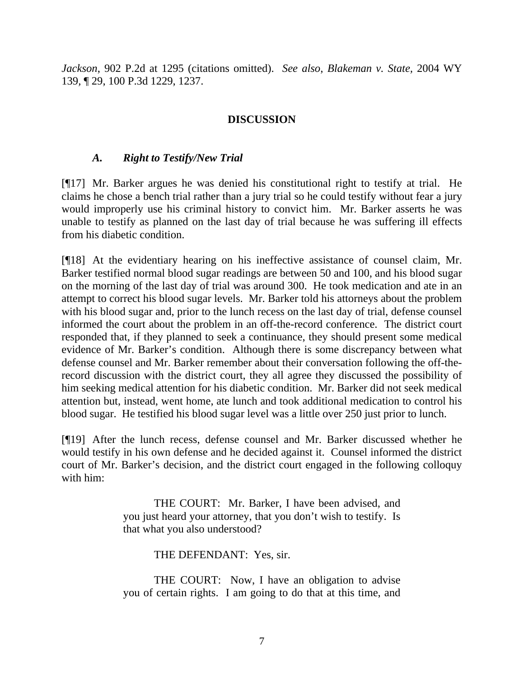*Jackson*, 902 P.2d at 1295 (citations omitted). *See also*, *Blakeman v. State,* 2004 WY 139*,* ¶ 29, 100 P.3d 1229, 1237.

## **DISCUSSION**

### *A. Right to Testify/New Trial*

[¶17] Mr. Barker argues he was denied his constitutional right to testify at trial. He claims he chose a bench trial rather than a jury trial so he could testify without fear a jury would improperly use his criminal history to convict him. Mr. Barker asserts he was unable to testify as planned on the last day of trial because he was suffering ill effects from his diabetic condition.

[¶18] At the evidentiary hearing on his ineffective assistance of counsel claim, Mr. Barker testified normal blood sugar readings are between 50 and 100, and his blood sugar on the morning of the last day of trial was around 300. He took medication and ate in an attempt to correct his blood sugar levels. Mr. Barker told his attorneys about the problem with his blood sugar and, prior to the lunch recess on the last day of trial, defense counsel informed the court about the problem in an off-the-record conference. The district court responded that, if they planned to seek a continuance, they should present some medical evidence of Mr. Barker's condition. Although there is some discrepancy between what defense counsel and Mr. Barker remember about their conversation following the off-therecord discussion with the district court, they all agree they discussed the possibility of him seeking medical attention for his diabetic condition. Mr. Barker did not seek medical attention but, instead, went home, ate lunch and took additional medication to control his blood sugar. He testified his blood sugar level was a little over 250 just prior to lunch.

[¶19] After the lunch recess, defense counsel and Mr. Barker discussed whether he would testify in his own defense and he decided against it. Counsel informed the district court of Mr. Barker's decision, and the district court engaged in the following colloquy with him:

> THE COURT: Mr. Barker, I have been advised, and you just heard your attorney, that you don't wish to testify. Is that what you also understood?

> > THE DEFENDANT: Yes, sir.

THE COURT: Now, I have an obligation to advise you of certain rights. I am going to do that at this time, and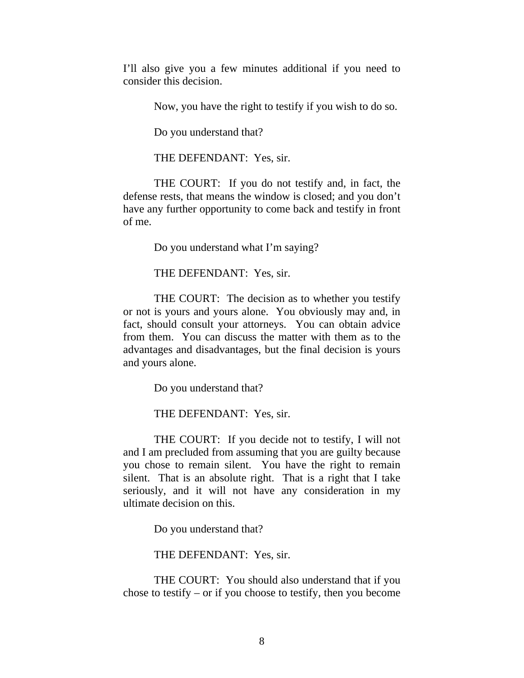I'll also give you a few minutes additional if you need to consider this decision.

Now, you have the right to testify if you wish to do so.

Do you understand that?

THE DEFENDANT: Yes, sir.

THE COURT: If you do not testify and, in fact, the defense rests, that means the window is closed; and you don't have any further opportunity to come back and testify in front of me.

Do you understand what I'm saying?

THE DEFENDANT: Yes, sir.

THE COURT: The decision as to whether you testify or not is yours and yours alone. You obviously may and, in fact, should consult your attorneys. You can obtain advice from them. You can discuss the matter with them as to the advantages and disadvantages, but the final decision is yours and yours alone.

Do you understand that?

THE DEFENDANT: Yes, sir.

THE COURT: If you decide not to testify, I will not and I am precluded from assuming that you are guilty because you chose to remain silent. You have the right to remain silent. That is an absolute right. That is a right that I take seriously, and it will not have any consideration in my ultimate decision on this.

Do you understand that?

THE DEFENDANT: Yes, sir.

THE COURT: You should also understand that if you chose to testify – or if you choose to testify, then you become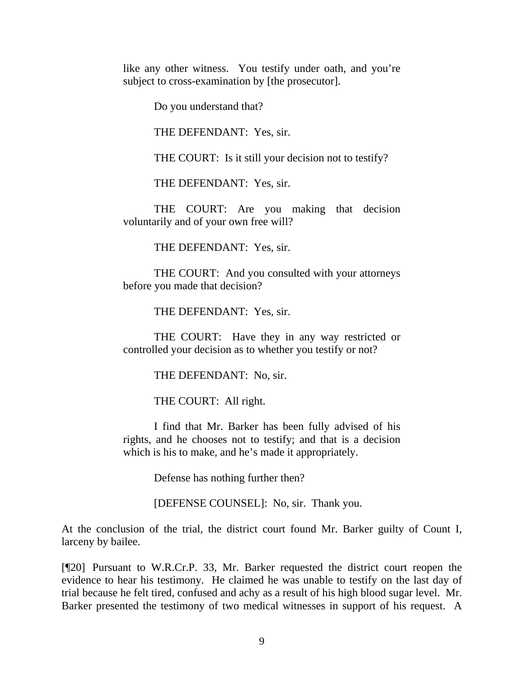like any other witness. You testify under oath, and you're subject to cross-examination by [the prosecutor].

Do you understand that?

THE DEFENDANT: Yes, sir.

THE COURT: Is it still your decision not to testify?

THE DEFENDANT: Yes, sir.

THE COURT: Are you making that decision voluntarily and of your own free will?

THE DEFENDANT: Yes, sir.

THE COURT: And you consulted with your attorneys before you made that decision?

THE DEFENDANT: Yes, sir.

THE COURT: Have they in any way restricted or controlled your decision as to whether you testify or not?

THE DEFENDANT: No, sir.

THE COURT: All right.

I find that Mr. Barker has been fully advised of his rights, and he chooses not to testify; and that is a decision which is his to make, and he's made it appropriately.

Defense has nothing further then?

[DEFENSE COUNSEL]: No, sir. Thank you.

At the conclusion of the trial, the district court found Mr. Barker guilty of Count I, larceny by bailee.

[¶20] Pursuant to W.R.Cr.P. 33, Mr. Barker requested the district court reopen the evidence to hear his testimony. He claimed he was unable to testify on the last day of trial because he felt tired, confused and achy as a result of his high blood sugar level. Mr. Barker presented the testimony of two medical witnesses in support of his request. A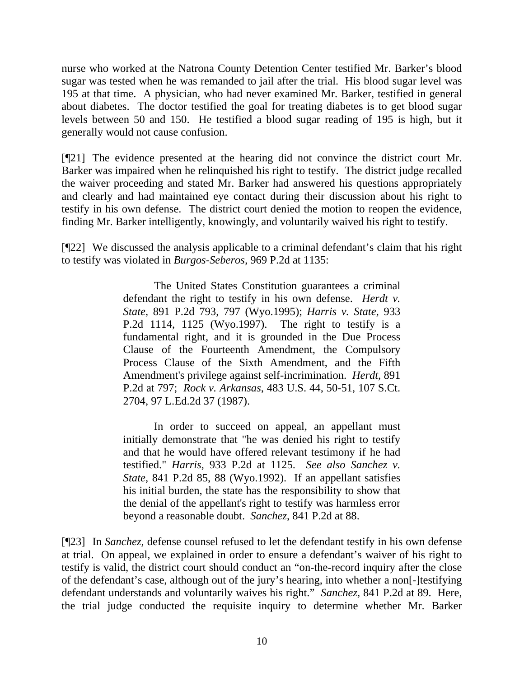nurse who worked at the Natrona County Detention Center testified Mr. Barker's blood sugar was tested when he was remanded to jail after the trial. His blood sugar level was 195 at that time. A physician, who had never examined Mr. Barker, testified in general about diabetes. The doctor testified the goal for treating diabetes is to get blood sugar levels between 50 and 150. He testified a blood sugar reading of 195 is high, but it generally would not cause confusion.

[¶21] The evidence presented at the hearing did not convince the district court Mr. Barker was impaired when he relinquished his right to testify. The district judge recalled the waiver proceeding and stated Mr. Barker had answered his questions appropriately and clearly and had maintained eye contact during their discussion about his right to testify in his own defense. The district court denied the motion to reopen the evidence, finding Mr. Barker intelligently, knowingly, and voluntarily waived his right to testify.

[¶22] We discussed the analysis applicable to a criminal defendant's claim that his right to testify was violated in *Burgos-Seberos,* 969 P.2d at 1135:

> The United States Constitution guarantees a criminal defendant the right to testify in his own defense. *Herdt v. State*, 891 P.2d 793, 797 (Wyo.1995); *Harris v. State*, 933 P.2d 1114, 1125 (Wyo.1997). The right to testify is a fundamental right, and it is grounded in the Due Process Clause of the Fourteenth Amendment, the Compulsory Process Clause of the Sixth Amendment, and the Fifth Amendment's privilege against self-incrimination. *Herdt*, 891 P.2d at 797; *Rock v. Arkansas*, 483 U.S. 44, 50-51, 107 S.Ct. 2704, 97 L.Ed.2d 37 (1987).

> In order to succeed on appeal, an appellant must initially demonstrate that "he was denied his right to testify and that he would have offered relevant testimony if he had testified." *Harris*, 933 P.2d at 1125. *See also Sanchez v. State*, 841 P.2d 85, 88 (Wyo.1992). If an appellant satisfies his initial burden, the state has the responsibility to show that the denial of the appellant's right to testify was harmless error beyond a reasonable doubt. *Sanchez*, 841 P.2d at 88.

[¶23] In *Sanchez,* defense counsel refused to let the defendant testify in his own defense at trial. On appeal, we explained in order to ensure a defendant's waiver of his right to testify is valid, the district court should conduct an "on-the-record inquiry after the close of the defendant's case, although out of the jury's hearing, into whether a non[-]testifying defendant understands and voluntarily waives his right." *Sanchez,* 841 P.2d at 89. Here, the trial judge conducted the requisite inquiry to determine whether Mr. Barker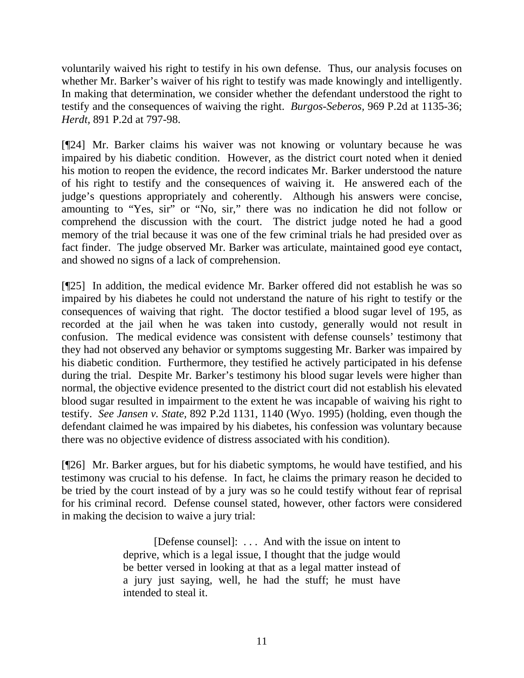voluntarily waived his right to testify in his own defense. Thus, our analysis focuses on whether Mr. Barker's waiver of his right to testify was made knowingly and intelligently. In making that determination, we consider whether the defendant understood the right to testify and the consequences of waiving the right. *Burgos-Seberos,* 969 P.2d at 1135-36; *Herdt,* 891 P.2d at 797-98.

[¶24] Mr. Barker claims his waiver was not knowing or voluntary because he was impaired by his diabetic condition. However, as the district court noted when it denied his motion to reopen the evidence, the record indicates Mr. Barker understood the nature of his right to testify and the consequences of waiving it. He answered each of the judge's questions appropriately and coherently. Although his answers were concise, amounting to "Yes, sir" or "No, sir," there was no indication he did not follow or comprehend the discussion with the court. The district judge noted he had a good memory of the trial because it was one of the few criminal trials he had presided over as fact finder. The judge observed Mr. Barker was articulate, maintained good eye contact, and showed no signs of a lack of comprehension.

[¶25] In addition, the medical evidence Mr. Barker offered did not establish he was so impaired by his diabetes he could not understand the nature of his right to testify or the consequences of waiving that right. The doctor testified a blood sugar level of 195, as recorded at the jail when he was taken into custody, generally would not result in confusion. The medical evidence was consistent with defense counsels' testimony that they had not observed any behavior or symptoms suggesting Mr. Barker was impaired by his diabetic condition. Furthermore, they testified he actively participated in his defense during the trial. Despite Mr. Barker's testimony his blood sugar levels were higher than normal, the objective evidence presented to the district court did not establish his elevated blood sugar resulted in impairment to the extent he was incapable of waiving his right to testify. *See Jansen v. State,* 892 P.2d 1131, 1140 (Wyo. 1995) (holding, even though the defendant claimed he was impaired by his diabetes, his confession was voluntary because there was no objective evidence of distress associated with his condition).

[¶26] Mr. Barker argues, but for his diabetic symptoms, he would have testified, and his testimony was crucial to his defense. In fact, he claims the primary reason he decided to be tried by the court instead of by a jury was so he could testify without fear of reprisal for his criminal record. Defense counsel stated, however, other factors were considered in making the decision to waive a jury trial:

> [Defense counsel]: . . . And with the issue on intent to deprive, which is a legal issue, I thought that the judge would be better versed in looking at that as a legal matter instead of a jury just saying, well, he had the stuff; he must have intended to steal it.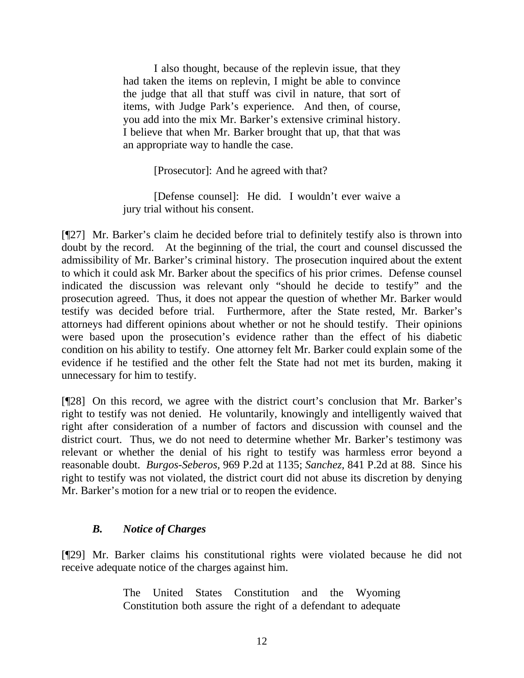I also thought, because of the replevin issue, that they had taken the items on replevin, I might be able to convince the judge that all that stuff was civil in nature, that sort of items, with Judge Park's experience. And then, of course, you add into the mix Mr. Barker's extensive criminal history. I believe that when Mr. Barker brought that up, that that was an appropriate way to handle the case.

[Prosecutor]: And he agreed with that?

[Defense counsel]: He did. I wouldn't ever waive a jury trial without his consent.

[¶27] Mr. Barker's claim he decided before trial to definitely testify also is thrown into doubt by the record. At the beginning of the trial, the court and counsel discussed the admissibility of Mr. Barker's criminal history. The prosecution inquired about the extent to which it could ask Mr. Barker about the specifics of his prior crimes. Defense counsel indicated the discussion was relevant only "should he decide to testify" and the prosecution agreed. Thus, it does not appear the question of whether Mr. Barker would testify was decided before trial. Furthermore, after the State rested, Mr. Barker's attorneys had different opinions about whether or not he should testify. Their opinions were based upon the prosecution's evidence rather than the effect of his diabetic condition on his ability to testify. One attorney felt Mr. Barker could explain some of the evidence if he testified and the other felt the State had not met its burden, making it unnecessary for him to testify.

[¶28] On this record, we agree with the district court's conclusion that Mr. Barker's right to testify was not denied. He voluntarily, knowingly and intelligently waived that right after consideration of a number of factors and discussion with counsel and the district court. Thus, we do not need to determine whether Mr. Barker's testimony was relevant or whether the denial of his right to testify was harmless error beyond a reasonable doubt. *Burgos-Seberos,* 969 P.2d at 1135; *Sanchez,* 841 P.2d at 88. Since his right to testify was not violated, the district court did not abuse its discretion by denying Mr. Barker's motion for a new trial or to reopen the evidence.

## *B. Notice of Charges*

[¶29] Mr. Barker claims his constitutional rights were violated because he did not receive adequate notice of the charges against him.

> The United States Constitution and the Wyoming Constitution both assure the right of a defendant to adequate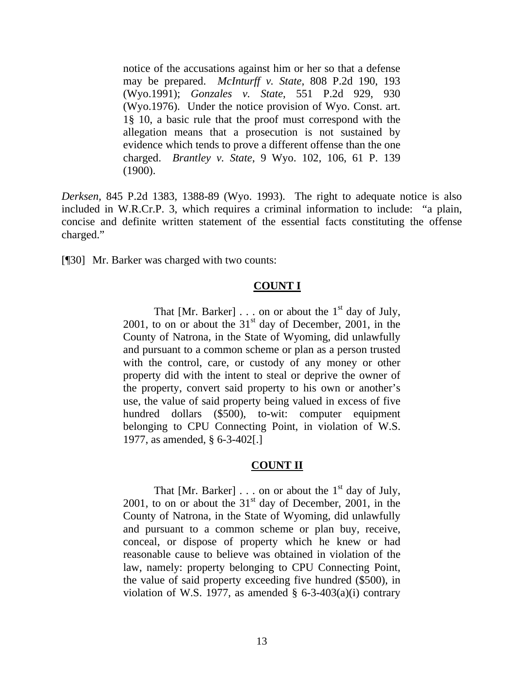notice of the accusations against him or her so that a defense may be prepared. *McInturff v. State*, 808 P.2d 190, 193 (Wyo.1991); *Gonzales v. State*, 551 P.2d 929, 930 (Wyo.1976). Under the notice provision of Wyo. Const. art. 1§ 10, a basic rule that the proof must correspond with the allegation means that a prosecution is not sustained by evidence which tends to prove a different offense than the one charged. *Brantley v. State*, 9 Wyo. 102, 106, 61 P. 139 (1900).

*Derksen,* 845 P.2d 1383, 1388-89 (Wyo. 1993). The right to adequate notice is also included in W.R.Cr.P. 3, which requires a criminal information to include: "a plain, concise and definite written statement of the essential facts constituting the offense charged."

[¶30] Mr. Barker was charged with two counts:

## **COUNT I**

That [Mr. Barker]  $\ldots$  on or about the 1<sup>st</sup> day of July, 2001, to on or about the  $31<sup>st</sup>$  day of December, 2001, in the County of Natrona, in the State of Wyoming, did unlawfully and pursuant to a common scheme or plan as a person trusted with the control, care, or custody of any money or other property did with the intent to steal or deprive the owner of the property, convert said property to his own or another's use, the value of said property being valued in excess of five hundred dollars (\$500), to-wit: computer equipment belonging to CPU Connecting Point, in violation of W.S. 1977, as amended, § 6-3-402[.]

## **COUNT II**

That [Mr. Barker]  $\ldots$  on or about the 1<sup>st</sup> day of July, 2001, to on or about the  $31<sup>st</sup>$  day of December, 2001, in the County of Natrona, in the State of Wyoming, did unlawfully and pursuant to a common scheme or plan buy, receive, conceal, or dispose of property which he knew or had reasonable cause to believe was obtained in violation of the law, namely: property belonging to CPU Connecting Point, the value of said property exceeding five hundred (\$500), in violation of W.S. 1977, as amended  $\S$  6-3-403(a)(i) contrary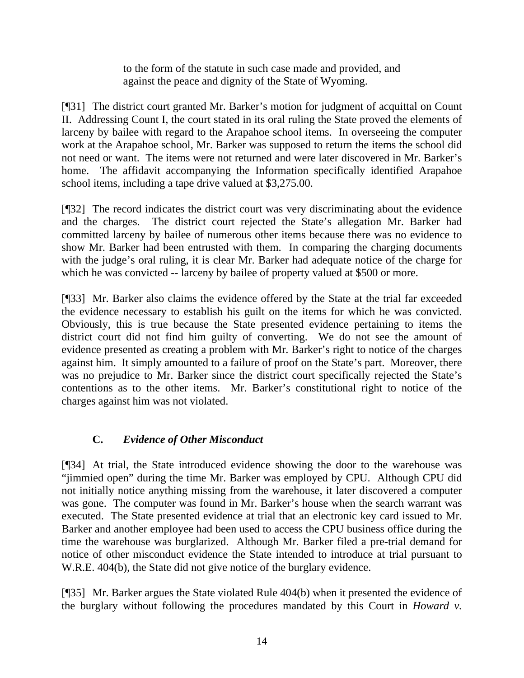to the form of the statute in such case made and provided, and against the peace and dignity of the State of Wyoming.

[¶31] The district court granted Mr. Barker's motion for judgment of acquittal on Count II. Addressing Count I, the court stated in its oral ruling the State proved the elements of larceny by bailee with regard to the Arapahoe school items. In overseeing the computer work at the Arapahoe school, Mr. Barker was supposed to return the items the school did not need or want. The items were not returned and were later discovered in Mr. Barker's home. The affidavit accompanying the Information specifically identified Arapahoe school items, including a tape drive valued at \$3,275.00.

[¶32] The record indicates the district court was very discriminating about the evidence and the charges. The district court rejected the State's allegation Mr. Barker had committed larceny by bailee of numerous other items because there was no evidence to show Mr. Barker had been entrusted with them. In comparing the charging documents with the judge's oral ruling, it is clear Mr. Barker had adequate notice of the charge for which he was convicted -- larceny by bailee of property valued at \$500 or more.

[¶33] Mr. Barker also claims the evidence offered by the State at the trial far exceeded the evidence necessary to establish his guilt on the items for which he was convicted. Obviously, this is true because the State presented evidence pertaining to items the district court did not find him guilty of converting. We do not see the amount of evidence presented as creating a problem with Mr. Barker's right to notice of the charges against him. It simply amounted to a failure of proof on the State's part. Moreover, there was no prejudice to Mr. Barker since the district court specifically rejected the State's contentions as to the other items. Mr. Barker's constitutional right to notice of the charges against him was not violated.

# **C.** *Evidence of Other Misconduct*

[¶34] At trial, the State introduced evidence showing the door to the warehouse was "jimmied open" during the time Mr. Barker was employed by CPU. Although CPU did not initially notice anything missing from the warehouse, it later discovered a computer was gone. The computer was found in Mr. Barker's house when the search warrant was executed. The State presented evidence at trial that an electronic key card issued to Mr. Barker and another employee had been used to access the CPU business office during the time the warehouse was burglarized. Although Mr. Barker filed a pre-trial demand for notice of other misconduct evidence the State intended to introduce at trial pursuant to W.R.E. 404(b), the State did not give notice of the burglary evidence.

[¶35] Mr. Barker argues the State violated Rule 404(b) when it presented the evidence of the burglary without following the procedures mandated by this Court in *Howard v.*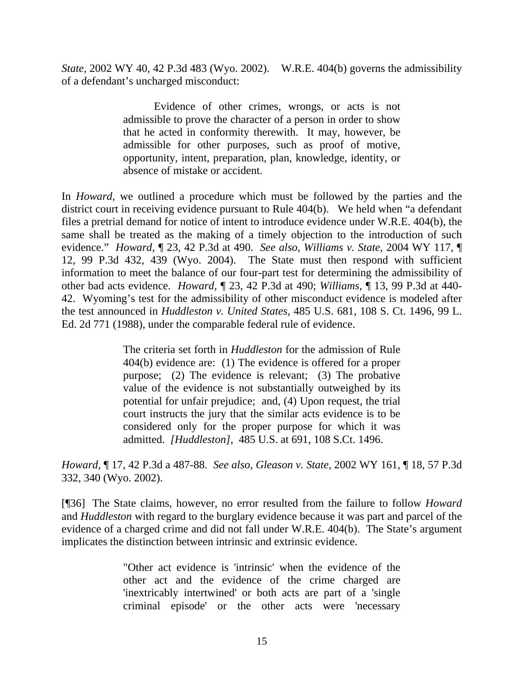*State,* 2002 WY 40, 42 P.3d 483 (Wyo. 2002). W.R.E. 404(b) governs the admissibility of a defendant's uncharged misconduct:

> Evidence of other crimes, wrongs, or acts is not admissible to prove the character of a person in order to show that he acted in conformity therewith. It may, however, be admissible for other purposes, such as proof of motive, opportunity, intent, preparation, plan, knowledge, identity, or absence of mistake or accident.

In *Howard*, we outlined a procedure which must be followed by the parties and the district court in receiving evidence pursuant to Rule 404(b). We held when "a defendant files a pretrial demand for notice of intent to introduce evidence under W.R.E. 404(b), the same shall be treated as the making of a timely objection to the introduction of such evidence." *Howard,* ¶ 23, 42 P.3d at 490. *See also*, *Williams v. State,* 2004 WY 117, ¶ 12, 99 P.3d 432, 439 (Wyo. 2004). The State must then respond with sufficient information to meet the balance of our four-part test for determining the admissibility of other bad acts evidence. *Howard,* ¶ 23, 42 P.3d at 490; *Williams,* ¶ 13, 99 P.3d at 440- 42.Wyoming's test for the admissibility of other misconduct evidence is modeled after the test announced in *Huddleston v. United States,* 485 U.S. 681, 108 S. Ct. 1496, 99 L. Ed. 2d 771 (1988), under the comparable federal rule of evidence.

> The criteria set forth in *Huddleston* for the admission of Rule 404(b) evidence are: (1) The evidence is offered for a proper purpose; (2) The evidence is relevant; (3) The probative value of the evidence is not substantially outweighed by its potential for unfair prejudice; and, (4) Upon request, the trial court instructs the jury that the similar acts evidence is to be considered only for the proper purpose for which it was admitted. *[Huddleston],* 485 U.S. at 691, 108 S.Ct. 1496.

*Howard,* ¶ 17, 42 P.3d a 487-88. *See also*, *Gleason v. State,* 2002 WY 161, ¶ 18, 57 P.3d 332, 340 (Wyo. 2002).

[¶36] The State claims, however, no error resulted from the failure to follow *Howard*  and *Huddleston* with regard to the burglary evidence because it was part and parcel of the evidence of a charged crime and did not fall under W.R.E. 404(b). The State's argument implicates the distinction between intrinsic and extrinsic evidence.

> "Other act evidence is 'intrinsic' when the evidence of the other act and the evidence of the crime charged are 'inextricably intertwined' or both acts are part of a 'single criminal episode' or the other acts were 'necessary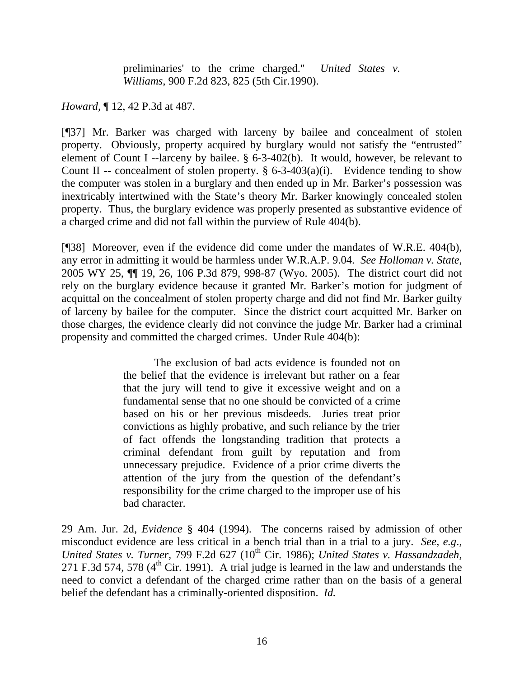preliminaries' to the crime charged." *United States v. Williams*, 900 F.2d 823, 825 (5th Cir.1990).

*Howard,* ¶ 12, 42 P.3d at 487.

[¶37] Mr. Barker was charged with larceny by bailee and concealment of stolen property. Obviously, property acquired by burglary would not satisfy the "entrusted" element of Count I --larceny by bailee. § 6-3-402(b). It would, however, be relevant to Count II -- concealment of stolen property.  $\S$  6-3-403(a)(i). Evidence tending to show the computer was stolen in a burglary and then ended up in Mr. Barker's possession was inextricably intertwined with the State's theory Mr. Barker knowingly concealed stolen property. Thus, the burglary evidence was properly presented as substantive evidence of a charged crime and did not fall within the purview of Rule 404(b).

[¶38] Moreover, even if the evidence did come under the mandates of W.R.E. 404(b), any error in admitting it would be harmless under W.R.A.P. 9.04. *See Holloman v. State,*  2005 WY 25, ¶¶ 19, 26, 106 P.3d 879, 998-87 (Wyo. 2005). The district court did not rely on the burglary evidence because it granted Mr. Barker's motion for judgment of acquittal on the concealment of stolen property charge and did not find Mr. Barker guilty of larceny by bailee for the computer. Since the district court acquitted Mr. Barker on those charges, the evidence clearly did not convince the judge Mr. Barker had a criminal propensity and committed the charged crimes. Under Rule 404(b):

> The exclusion of bad acts evidence is founded not on the belief that the evidence is irrelevant but rather on a fear that the jury will tend to give it excessive weight and on a fundamental sense that no one should be convicted of a crime based on his or her previous misdeeds. Juries treat prior convictions as highly probative, and such reliance by the trier of fact offends the longstanding tradition that protects a criminal defendant from guilt by reputation and from unnecessary prejudice. Evidence of a prior crime diverts the attention of the jury from the question of the defendant's responsibility for the crime charged to the improper use of his bad character.

29 Am. Jur. 2d, *Evidence* § 404 (1994). The concerns raised by admission of other misconduct evidence are less critical in a bench trial than in a trial to a jury. *See, e.g*., *United States v. Turner, 799 F.2d 627 (10<sup>th</sup> Cir. 1986); <i>United States v. Hassandzadeh,* 271 F.3d 574, 578  $(4<sup>th</sup> Cir. 1991)$ . A trial judge is learned in the law and understands the need to convict a defendant of the charged crime rather than on the basis of a general belief the defendant has a criminally-oriented disposition. *Id.*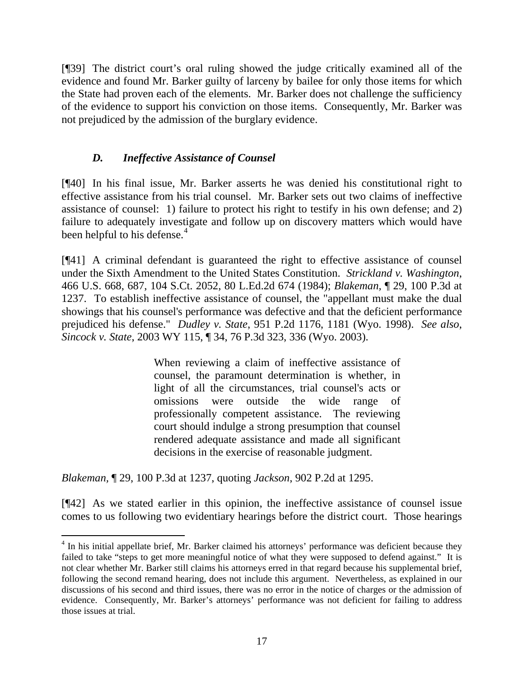[¶39] The district court's oral ruling showed the judge critically examined all of the evidence and found Mr. Barker guilty of larceny by bailee for only those items for which the State had proven each of the elements. Mr. Barker does not challenge the sufficiency of the evidence to support his conviction on those items. Consequently, Mr. Barker was not prejudiced by the admission of the burglary evidence.

# *D. Ineffective Assistance of Counsel*

[¶40] In his final issue, Mr. Barker asserts he was denied his constitutional right to effective assistance from his trial counsel. Mr. Barker sets out two claims of ineffective assistance of counsel: 1) failure to protect his right to testify in his own defense; and 2) failure to adequately investigate and follow up on discovery matters which would have been helpful to his defense. $4$ 

[¶41] A criminal defendant is guaranteed the right to effective assistance of counsel under the Sixth Amendment to the United States Constitution. *Strickland v. Washington*, 466 U.S. 668, 687, 104 S.Ct. 2052, 80 L.Ed.2d 674 (1984); *Blakeman,* ¶ 29, 100 P.3d at 1237. To establish ineffective assistance of counsel, the "appellant must make the dual showings that his counsel's performance was defective and that the deficient performance prejudiced his defense." *Dudley v. State*, 951 P.2d 1176, 1181 (Wyo. 1998). *See also*, *Sincock v. State*, 2003 WY 115, ¶ 34, 76 P.3d 323, 336 (Wyo. 2003).

> When reviewing a claim of ineffective assistance of counsel, the paramount determination is whether, in light of all the circumstances, trial counsel's acts or omissions were outside the wide range of professionally competent assistance. The reviewing court should indulge a strong presumption that counsel rendered adequate assistance and made all significant decisions in the exercise of reasonable judgment.

*Blakeman,* ¶ 29, 100 P.3d at 1237, quoting *Jackson*, 902 P.2d at 1295.

[¶42] As we stated earlier in this opinion, the ineffective assistance of counsel issue comes to us following two evidentiary hearings before the district court. Those hearings

<span id="page-17-0"></span><sup>&</sup>lt;sup>4</sup> In his initial appellate brief, Mr. Barker claimed his attorneys' performance was deficient because they failed to take "steps to get more meaningful notice of what they were supposed to defend against." It is not clear whether Mr. Barker still claims his attorneys erred in that regard because his supplemental brief, following the second remand hearing, does not include this argument. Nevertheless, as explained in our discussions of his second and third issues, there was no error in the notice of charges or the admission of evidence. Consequently, Mr. Barker's attorneys' performance was not deficient for failing to address those issues at trial.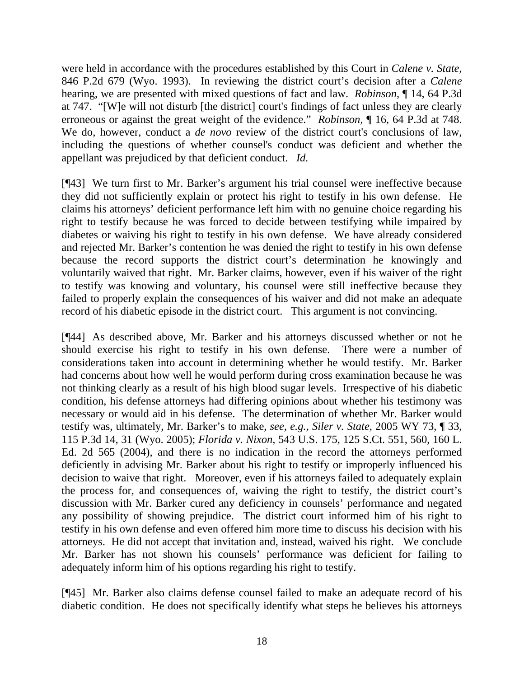were held in accordance with the procedures established by this Court in *Calene v. State,*  846 P.2d 679 (Wyo. 1993). In reviewing the district court's decision after a *Calene*  hearing, we are presented with mixed questions of fact and law. *Robinson,* ¶ 14, 64 P.3d at 747. "[W]e will not disturb [the district] court's findings of fact unless they are clearly erroneous or against the great weight of the evidence." *Robinson,* ¶ 16, 64 P.3d at 748. We do, however, conduct a *de novo* review of the district court's conclusions of law, including the questions of whether counsel's conduct was deficient and whether the appellant was prejudiced by that deficient conduct. *Id.* 

[¶43] We turn first to Mr. Barker's argument his trial counsel were ineffective because they did not sufficiently explain or protect his right to testify in his own defense. He claims his attorneys' deficient performance left him with no genuine choice regarding his right to testify because he was forced to decide between testifying while impaired by diabetes or waiving his right to testify in his own defense. We have already considered and rejected Mr. Barker's contention he was denied the right to testify in his own defense because the record supports the district court's determination he knowingly and voluntarily waived that right. Mr. Barker claims, however, even if his waiver of the right to testify was knowing and voluntary, his counsel were still ineffective because they failed to properly explain the consequences of his waiver and did not make an adequate record of his diabetic episode in the district court. This argument is not convincing.

[¶44] As described above*,* Mr. Barker and his attorneys discussed whether or not he should exercise his right to testify in his own defense. There were a number of considerations taken into account in determining whether he would testify. Mr. Barker had concerns about how well he would perform during cross examination because he was not thinking clearly as a result of his high blood sugar levels. Irrespective of his diabetic condition, his defense attorneys had differing opinions about whether his testimony was necessary or would aid in his defense. The determination of whether Mr. Barker would testify was, ultimately, Mr. Barker's to make, *see, e.g., Siler v. State,* 2005 WY 73, ¶ 33, 115 P.3d 14, 31 (Wyo. 2005); *Florida v. Nixon*, 543 U.S. 175, 125 S.Ct. 551, 560, 160 L. Ed. 2d 565 (2004), and there is no indication in the record the attorneys performed deficiently in advising Mr. Barker about his right to testify or improperly influenced his decision to waive that right. Moreover, even if his attorneys failed to adequately explain the process for, and consequences of, waiving the right to testify, the district court's discussion with Mr. Barker cured any deficiency in counsels' performance and negated any possibility of showing prejudice. The district court informed him of his right to testify in his own defense and even offered him more time to discuss his decision with his attorneys. He did not accept that invitation and, instead, waived his right. We conclude Mr. Barker has not shown his counsels' performance was deficient for failing to adequately inform him of his options regarding his right to testify.

[¶45] Mr. Barker also claims defense counsel failed to make an adequate record of his diabetic condition. He does not specifically identify what steps he believes his attorneys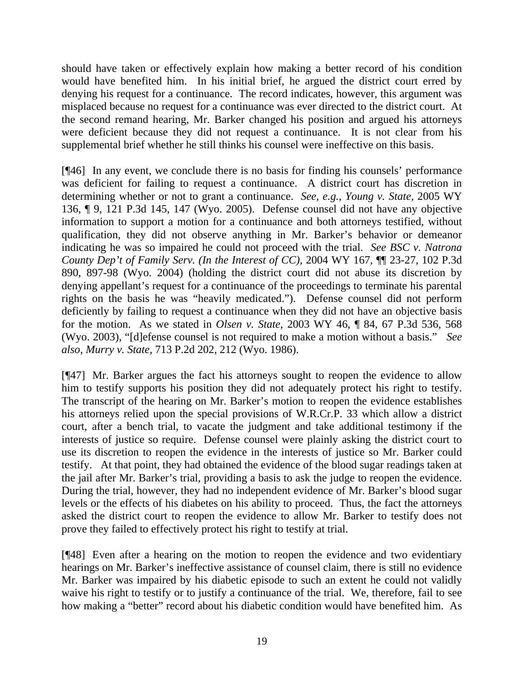should have taken or effectively explain how making a better record of his condition would have benefited him. In his initial brief, he argued the district court erred by denying his request for a continuance. The record indicates, however, this argument was misplaced because no request for a continuance was ever directed to the district court. At the second remand hearing, Mr. Barker changed his position and argued his attorneys were deficient because they did not request a continuance. It is not clear from his supplemental brief whether he still thinks his counsel were ineffective on this basis.

[¶46] In any event, we conclude there is no basis for finding his counsels' performance was deficient for failing to request a continuance. A district court has discretion in determining whether or not to grant a continuance. *See, e.g., Young v. State,* 2005 WY 136, ¶ 9, 121 P.3d 145, 147 (Wyo. 2005). Defense counsel did not have any objective information to support a motion for a continuance and both attorneys testified, without qualification, they did not observe anything in Mr. Barker's behavior or demeanor indicating he was so impaired he could not proceed with the trial. *See BSC v. Natrona County Dep't of Family Serv. (In the Interest of CC),* 2004 WY 167, ¶¶ 23-27, 102 P.3d 890, 897-98 (Wyo. 2004) (holding the district court did not abuse its discretion by denying appellant's request for a continuance of the proceedings to terminate his parental rights on the basis he was "heavily medicated."). Defense counsel did not perform deficiently by failing to request a continuance when they did not have an objective basis for the motion. As we stated in *Olsen v. State,* 2003 WY 46, ¶ 84, 67 P.3d 536, 568 (Wyo. 2003), "[d]efense counsel is not required to make a motion without a basis." *See also*, *Murry v. State*, 713 P.2d 202, 212 (Wyo. 1986).

[¶47] Mr. Barker argues the fact his attorneys sought to reopen the evidence to allow him to testify supports his position they did not adequately protect his right to testify. The transcript of the hearing on Mr. Barker's motion to reopen the evidence establishes his attorneys relied upon the special provisions of W.R.Cr.P. 33 which allow a district court, after a bench trial, to vacate the judgment and take additional testimony if the interests of justice so require. Defense counsel were plainly asking the district court to use its discretion to reopen the evidence in the interests of justice so Mr. Barker could testify. At that point, they had obtained the evidence of the blood sugar readings taken at the jail after Mr. Barker's trial, providing a basis to ask the judge to reopen the evidence. During the trial, however, they had no independent evidence of Mr. Barker's blood sugar levels or the effects of his diabetes on his ability to proceed. Thus, the fact the attorneys asked the district court to reopen the evidence to allow Mr. Barker to testify does not prove they failed to effectively protect his right to testify at trial.

[¶48] Even after a hearing on the motion to reopen the evidence and two evidentiary hearings on Mr. Barker's ineffective assistance of counsel claim, there is still no evidence Mr. Barker was impaired by his diabetic episode to such an extent he could not validly waive his right to testify or to justify a continuance of the trial. We, therefore, fail to see how making a "better" record about his diabetic condition would have benefited him. As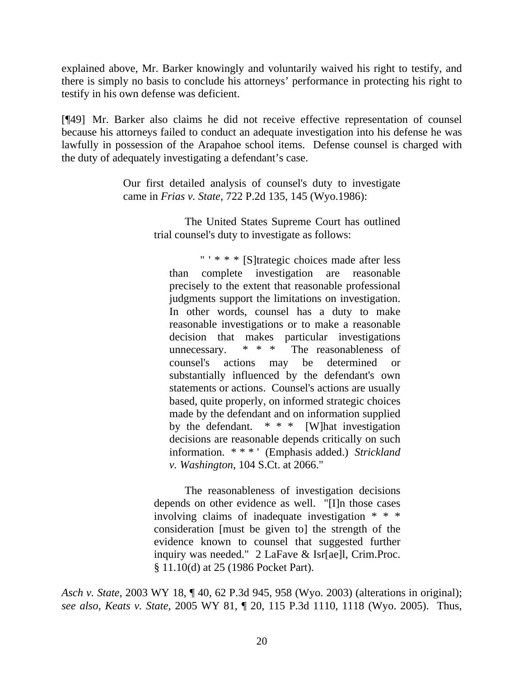explained above, Mr. Barker knowingly and voluntarily waived his right to testify, and there is simply no basis to conclude his attorneys' performance in protecting his right to testify in his own defense was deficient.

[¶49] Mr. Barker also claims he did not receive effective representation of counsel because his attorneys failed to conduct an adequate investigation into his defense he was lawfully in possession of the Arapahoe school items. Defense counsel is charged with the duty of adequately investigating a defendant's case.

> Our first detailed analysis of counsel's duty to investigate came in *Frias v. State*, 722 P.2d 135, 145 (Wyo.1986):

> > The United States Supreme Court has outlined trial counsel's duty to investigate as follows:

" ' \* \* \* [S]trategic choices made after less than complete investigation are reasonable precisely to the extent that reasonable professional judgments support the limitations on investigation. In other words, counsel has a duty to make reasonable investigations or to make a reasonable decision that makes particular investigations unnecessary. \* \* \* The reasonableness of counsel's actions may be determined or substantially influenced by the defendant's own statements or actions. Counsel's actions are usually based, quite properly, on informed strategic choices made by the defendant and on information supplied by the defendant.  $* * *$  [W] hat investigation decisions are reasonable depends critically on such information. \* \* \* ' (Emphasis added.) *Strickland v. Washington*, 104 S.Ct. at 2066."

The reasonableness of investigation decisions depends on other evidence as well. "[I]n those cases involving claims of inadequate investigation \* \* \* consideration [must be given to] the strength of the evidence known to counsel that suggested further inquiry was needed." 2 LaFave & Isr[ae]l, Crim.Proc. § 11.10(d) at 25 (1986 Pocket Part).

*Asch v. State*, 2003 WY 18, ¶ 40, 62 P.3d 945, 958 (Wyo. 2003) (alterations in original); *see also, Keats v. State,* 2005 WY 81, ¶ 20, 115 P.3d 1110, 1118 (Wyo. 2005). Thus,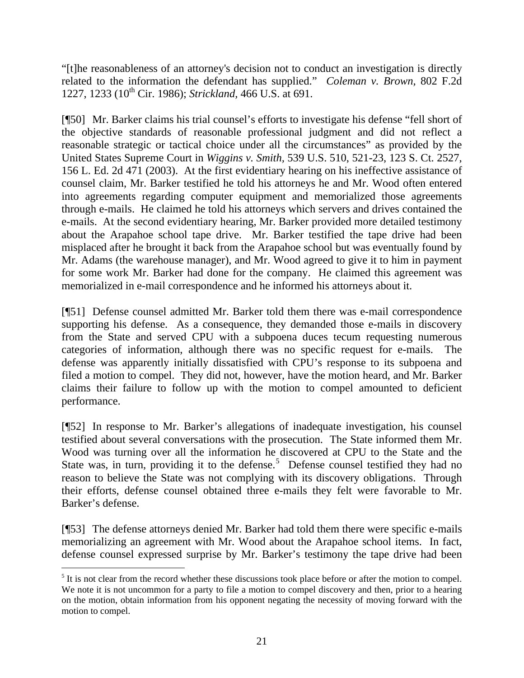"[t]he reasonableness of an attorney's decision not to conduct an investigation is directly related to the information the defendant has supplied." *Coleman v. Brown,* 802 F.2d 1227, 1233 (10th Cir. 1986); *Strickland,* 466 U.S. at 691.

[¶50] Mr. Barker claims his trial counsel's efforts to investigate his defense "fell short of the objective standards of reasonable professional judgment and did not reflect a reasonable strategic or tactical choice under all the circumstances" as provided by the United States Supreme Court in *Wiggins v. Smith,* 539 U.S. 510, 521-23, 123 S. Ct. 2527, 156 L. Ed. 2d 471 (2003). At the first evidentiary hearing on his ineffective assistance of counsel claim, Mr. Barker testified he told his attorneys he and Mr. Wood often entered into agreements regarding computer equipment and memorialized those agreements through e-mails. He claimed he told his attorneys which servers and drives contained the e-mails. At the second evidentiary hearing, Mr. Barker provided more detailed testimony about the Arapahoe school tape drive. Mr. Barker testified the tape drive had been misplaced after he brought it back from the Arapahoe school but was eventually found by Mr. Adams (the warehouse manager), and Mr. Wood agreed to give it to him in payment for some work Mr. Barker had done for the company. He claimed this agreement was memorialized in e-mail correspondence and he informed his attorneys about it.

[¶51] Defense counsel admitted Mr. Barker told them there was e-mail correspondence supporting his defense. As a consequence, they demanded those e-mails in discovery from the State and served CPU with a subpoena duces tecum requesting numerous categories of information, although there was no specific request for e-mails. The defense was apparently initially dissatisfied with CPU's response to its subpoena and filed a motion to compel. They did not, however, have the motion heard, and Mr. Barker claims their failure to follow up with the motion to compel amounted to deficient performance.

[¶52] In response to Mr. Barker's allegations of inadequate investigation, his counsel testified about several conversations with the prosecution. The State informed them Mr. Wood was turning over all the information he discovered at CPU to the State and the State was, in turn, providing it to the defense.<sup>[5](#page-21-0)</sup> Defense counsel testified they had no reason to believe the State was not complying with its discovery obligations. Through their efforts, defense counsel obtained three e-mails they felt were favorable to Mr. Barker's defense.

[¶53] The defense attorneys denied Mr. Barker had told them there were specific e-mails memorializing an agreement with Mr. Wood about the Arapahoe school items. In fact, defense counsel expressed surprise by Mr. Barker's testimony the tape drive had been

l

<span id="page-21-0"></span><sup>&</sup>lt;sup>5</sup> It is not clear from the record whether these discussions took place before or after the motion to compel. We note it is not uncommon for a party to file a motion to compel discovery and then, prior to a hearing on the motion, obtain information from his opponent negating the necessity of moving forward with the motion to compel.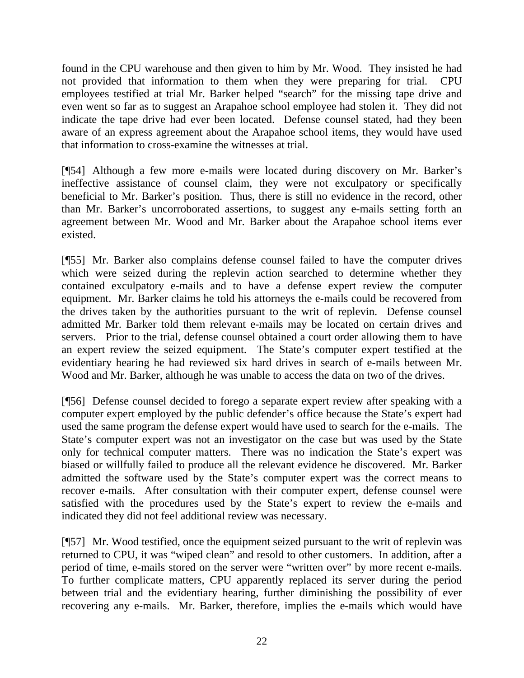found in the CPU warehouse and then given to him by Mr. Wood. They insisted he had not provided that information to them when they were preparing for trial. CPU employees testified at trial Mr. Barker helped "search" for the missing tape drive and even went so far as to suggest an Arapahoe school employee had stolen it. They did not indicate the tape drive had ever been located. Defense counsel stated, had they been aware of an express agreement about the Arapahoe school items, they would have used that information to cross-examine the witnesses at trial.

[¶54] Although a few more e-mails were located during discovery on Mr. Barker's ineffective assistance of counsel claim, they were not exculpatory or specifically beneficial to Mr. Barker's position. Thus, there is still no evidence in the record, other than Mr. Barker's uncorroborated assertions, to suggest any e-mails setting forth an agreement between Mr. Wood and Mr. Barker about the Arapahoe school items ever existed.

[¶55] Mr. Barker also complains defense counsel failed to have the computer drives which were seized during the replevin action searched to determine whether they contained exculpatory e-mails and to have a defense expert review the computer equipment. Mr. Barker claims he told his attorneys the e-mails could be recovered from the drives taken by the authorities pursuant to the writ of replevin. Defense counsel admitted Mr. Barker told them relevant e-mails may be located on certain drives and servers. Prior to the trial, defense counsel obtained a court order allowing them to have an expert review the seized equipment. The State's computer expert testified at the evidentiary hearing he had reviewed six hard drives in search of e-mails between Mr. Wood and Mr. Barker, although he was unable to access the data on two of the drives.

[¶56] Defense counsel decided to forego a separate expert review after speaking with a computer expert employed by the public defender's office because the State's expert had used the same program the defense expert would have used to search for the e-mails. The State's computer expert was not an investigator on the case but was used by the State only for technical computer matters. There was no indication the State's expert was biased or willfully failed to produce all the relevant evidence he discovered. Mr. Barker admitted the software used by the State's computer expert was the correct means to recover e-mails. After consultation with their computer expert, defense counsel were satisfied with the procedures used by the State's expert to review the e-mails and indicated they did not feel additional review was necessary.

[¶57] Mr. Wood testified, once the equipment seized pursuant to the writ of replevin was returned to CPU, it was "wiped clean" and resold to other customers. In addition, after a period of time, e-mails stored on the server were "written over" by more recent e-mails. To further complicate matters, CPU apparently replaced its server during the period between trial and the evidentiary hearing, further diminishing the possibility of ever recovering any e-mails. Mr. Barker, therefore, implies the e-mails which would have